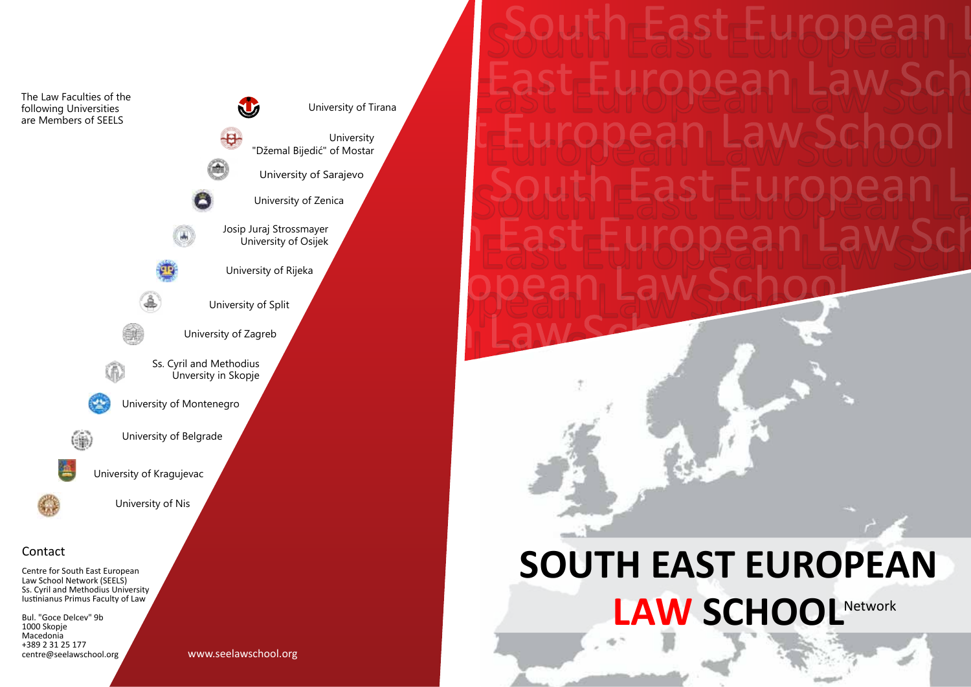The Law Faculties of the **SIE** University of Tirana following Universities are Members of SEELS  $\overline{\mathbf{e}}$ "Džemal Bijedić" of Mostar University of Sarajevo University of Zenica Josip Juraj Strossmayer University of Osijek University of Rijeka University of Split University of Zagreb Ss. Cyril and Methodius 偷 Unversity in Skopje University of Montenegro University of Belgrade ú. University of Kragujevac University of Nis Contact Centre for South East European Law School Network (SEELS)

Ss. Cyril and Methodius University Iustinianus Primus Faculty of Law Bul. "Goce Delcev" 9b

1000 Skopje Macedonia +389 2 31 25 177 centre@seelawschool.org

www.seelawschool.org

University

# **SOUTH EAST EUROPEAN**  LAW SCHOOL<sup>Network</sup>

outh $\epsilon$ East $\epsilon$ E